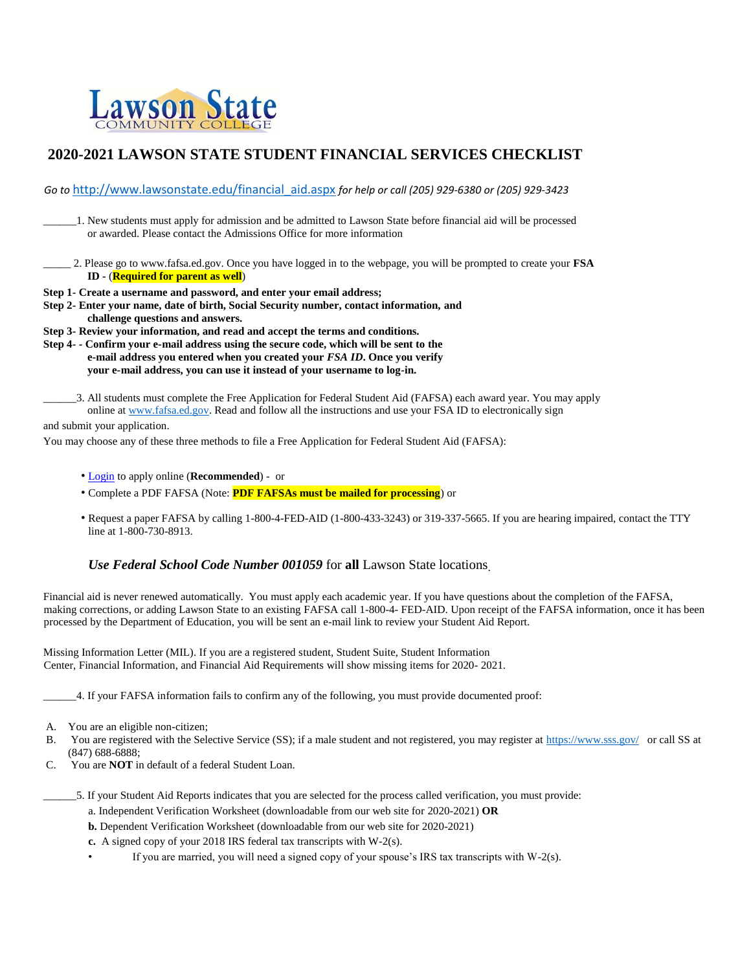

## **2020-2021 LAWSON STATE STUDENT FINANCIAL SERVICES CHECKLIST**

*Go to* http://www.lawsonstate.edu/financial\_aid.aspx *for help or call (205) 929‐6380 or (205) 929‐3423* 

\_\_\_\_\_\_1. New students must apply for admission and be admitted to Lawson State before financial aid will be processed or awarded. Please contact the Admissions Office for more information

- \_\_\_\_\_ 2. Please go to www.fafsa.ed.gov. Once you have logged in to the webpage, you will be prompted to create your **FSA ID -** (**Required for parent as well**)
- **Step 1- Create a username and password, and enter your email address;**
- **Step 2- Enter your name, date of birth, Social Security number, contact information, and challenge questions and answers.**

**Step 3- Review your information, and read and accept the terms and conditions.**

- **Step 4- - Confirm your e-mail address using the secure code, which will be sent to the e-mail address you entered when you created your** *FSA ID***. Once you verify your e-mail address, you can use it instead of your username to log-in.** 
	- \_\_\_\_\_\_3. All students must complete the Free Application for Federal Student Aid (FAFSA) each award year. You may apply online at www.fafsa.ed.gov. Read and follow all the instructions and use your FSA ID to electronically sign

and submit your application.

You may choose any of these three methods to file a Free Application for Federal Student Aid (FAFSA):

- Login to apply online (**Recommended**) or
- Complete a PDF FAFSA (Note: **PDF FAFSAs must be mailed for processing**) or
- Request a paper FAFSA by calling 1-800-4-FED-AID (1-800-433-3243) or 319-337-5665. If you are hearing impaired, contact the TTY line at 1-800-730-8913.

## *Use Federal School Code Number 001059* for **all** Lawson State locations.

Financial aid is never renewed automatically. You must apply each academic year. If you have questions about the completion of the FAFSA, making corrections, or adding Lawson State to an existing FAFSA call 1-800-4- FED-AID. Upon receipt of the FAFSA information, once it has been processed by the Department of Education, you will be sent an e-mail link to review your Student Aid Report.

Missing Information Letter (MIL). If you are a registered student, Student Suite, Student Information Center, Financial Information, and Financial Aid Requirements will show missing items for 2020- 2021.

\_\_\_\_\_\_4. If your FAFSA information fails to confirm any of the following, you must provide documented proof:

- B. You are registered with the Selective Service (SS); if a male student and not registered, you may register at https://www.sss.gov/ or call SS at (847) 688-6888;
- C. You are **NOT** in default of a federal Student Loan.
	- \_\_\_\_\_\_5. If your Student Aid Reports indicates that you are selected for the process called verification, you must provide:
		- a. Independent Verification Worksheet (downloadable from our web site for 2020-2021) **OR**
		- **b.** Dependent Verification Worksheet (downloadable from our web site for 2020-2021)
		- **c.** A signed copy of your 2018 IRS federal tax transcripts with W-2(s).
		- If you are married, you will need a signed copy of your spouse's IRS tax transcripts with  $W-2(s)$ .

A. You are an eligible non-citizen;